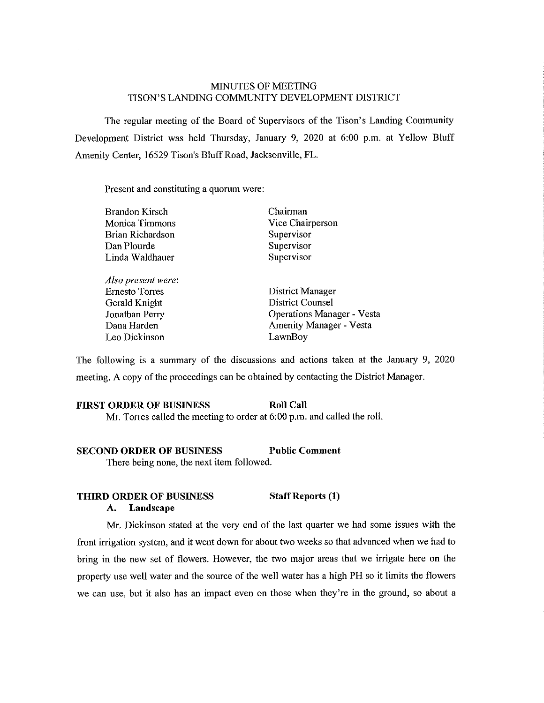# MINUTES OF MEETING TISON'S LANDING COMMUNITY DEVELOPMENT DISTRICT

The regular meeting of the Board of Supervisors of the Tison's Landing Community Development District was held Thursday, January 9, 2020 at 6:00 p.m. at Yellow Bluff Amenity Center, 16529 Tison's Bluff Road, Jacksonville, FL.

Present and constituting a quorum were:

| <b>Brandon Kirsch</b> | Chairman                          |
|-----------------------|-----------------------------------|
| Monica Timmons        | Vice Chairperson                  |
| Brian Richardson      | Supervisor                        |
| Dan Plourde           | Supervisor                        |
| Linda Waldhauer       | Supervisor                        |
|                       |                                   |
| Also present were:    |                                   |
| <b>Ernesto Torres</b> | District Manager                  |
| Gerald Knight         | District Counsel                  |
| Jonathan Perry        | <b>Operations Manager - Vesta</b> |
| Dana Harden           | <b>Amenity Manager - Vesta</b>    |
| Leo Dickinson         | LawnBov                           |

The following is a summary of the discussions and actions taken at the January 9, 2020 meeting. A copy of the proceedings can be obtained by contacting the District Manager.

## **FIRST ORDER OF BUSINESS Roll Call** Mr. Torres called the meeting to order at 6:00 p.m. and called the roll.

#### **SECOND ORDER OF BUSINESS Public Comment**

There being none, the next item followed.

# **THIRD ORDER OF BUSINESS Staff Reports (1)**

# **A. Landscape**

Mr. Dickinson stated at the very end of the last quarter we had some issues with the front irrigation system, and it went down for about two weeks so that advanced when we had to bring in the new set of flowers. However, the two major areas that we irrigate here on the property use well water and the source of the well water has a high PH so it limits the flowers we can use, but it also has an impact even on those when they're in the ground, so about a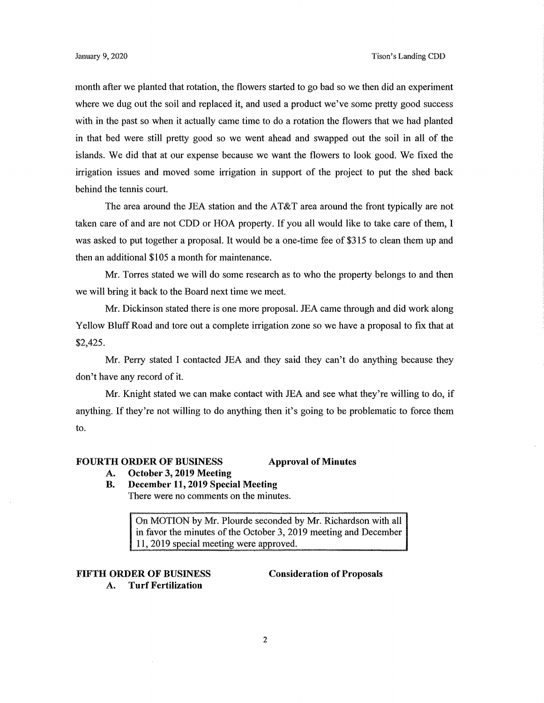month after we planted that rotation, the flowers started to go bad so we then did an experiment where we dug out the soil and replaced it, and used a product we've some pretty good success with in the past so when it actually came time to do a rotation the flowers that we had planted in that bed were still pretty good so we went ahead and swapped out the soil in all of the islands. We did that at our expense because we want the flowers to look good. We fixed the irrigation issues and moved some irrigation in support of the project to put the shed back behind the tennis court.

The area around the JEA station and the AT&T area around the front typically are not taken care of and are not CDD or HOA property. If you all would like to take care of them, I was asked to put together a proposal. It would be a one-time fee of \$315 to clean them up and then an additional \$105 a month for maintenance.

Mr. Torres stated we will do some research as to who the property belongs to and then we will bring it back to the Board next time we meet.

Mr. Dickinson stated there is one more proposal. JEA came through and did work along Yellow Bluff Road and tore out a complete irrigation zone so we have a proposal to fix that at \$2,425.

Mr. Perry stated I contacted JEA and they said they can't do anything because they don't have any record of it.

Mr. Knight stated we can make contact with JEA and see what they're willing to do, if anything. If they're not willing to do anything then it's going to be problematic to force them to.

#### **FOURTH ORDER OF BUSINESS Approval of Minutes**

- **A. October 3, 2019 Meeting**
- **B. December 11, 2019 Special Meeting**  There were no comments on the minutes.

On MOTION by Mr. Plourde seconded by **Mr.** Richardson with all in favor the minutes of the October 3, 2019 meeting and December 11, 2019 special meeting were approved.

# **FIFTH ORDER OF BUSINESS Consideration of Proposals**

**A. Turf Fertilization**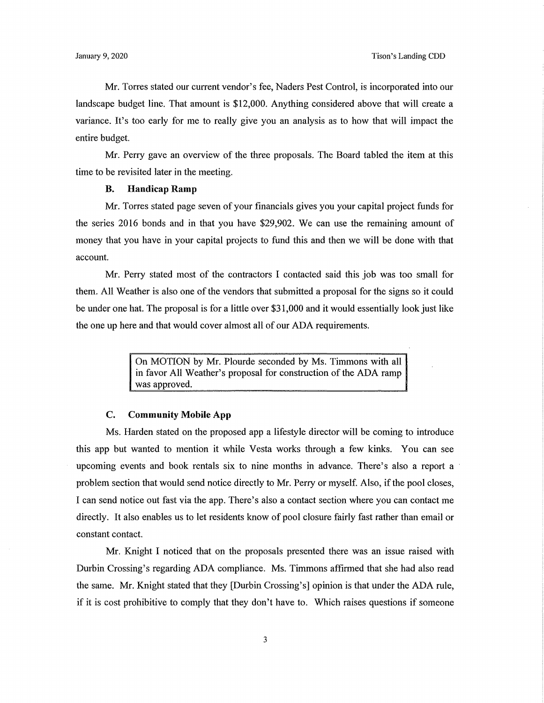Mr. Torres stated our current vendor's fee, Naders Pest Control, is incorporated into our landscape budget line. That amount is \$12,000. Anything considered above that will create a variance. It's too early for me to really give you an analysis as to how that will impact the entire budget.

Mr. Perry gave an overview of the three proposals. The Board tabled the item at this time to be revisited later in the meeting.

## **B. Handicap Ramp**

Mr. Torres stated page seven of your financials gives you your capital project funds for the series 2016 bonds and in that you have \$29,902. We can use the remaining amount of money that you have in your capital projects to fund this and then we will be done with that account.

Mr. Perry stated most of the contractors I contacted said this job was too small for them. All Weather is also one of the vendors that submitted a proposal for the signs so it could be under one hat. The proposal is for a little over \$31,000 and it would essentially look just like the one up here and that would cover almost all of our ADA requirements.

> On MOTION by Mr. Plourde seconded by Ms. Timmons with all in favor All Weather's proposal for construction of the ADA ramp was approved.

## **C. Community Mobile App**

Ms. Harden stated on the proposed app a lifestyle director will be coming to introduce this app but wanted to mention it while Vesta works through a few kinks. You can see upcoming events and book rentals six to nine months in advance. There's also a report a · problem section that would send notice directly to Mr. Perry or myself. Also, if the pool closes, I can send notice out fast via the app. There's also a contact section where you can contact me directly. It also enables us to let residents know of pool closure fairly fast rather than email or constant contact.

Mr. Knight I noticed that on the proposals presented there was an issue raised with Durbin Crossing's regarding ADA compliance. Ms. Timmons affirmed that she had also read the same. Mr. Knight stated that they [Durbin Crossing's] opinion is that under the ADA rule, if it is cost prohibitive to comply that they don't have to. Which raises questions if someone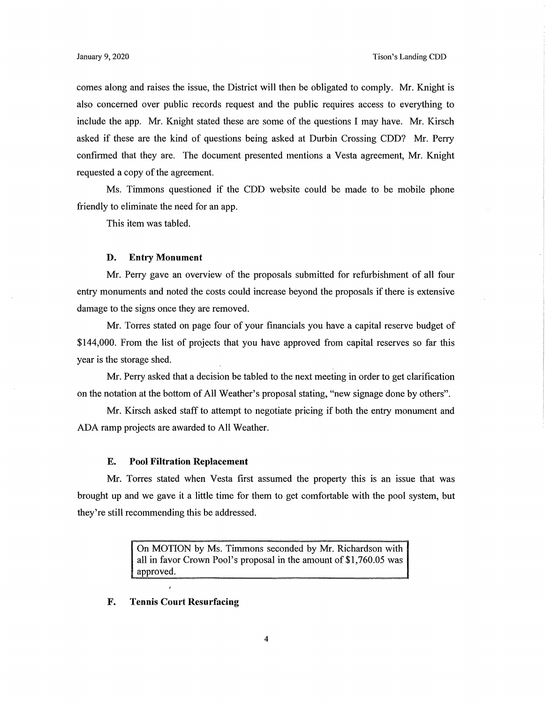comes along and raises the issue, the District will then be obligated to comply. Mr. Knight is also concerned over public records request and the public requires access to everything to include the app. Mr. Knight stated these are some of the questions I may have. Mr. Kirsch asked if these are the kind of questions being asked at Durbin Crossing CDD? Mr. Perry confirmed that they are. The document presented mentions a Vesta agreement, Mr. Knight requested a copy of the agreement.

Ms. Timmons questioned if the CDD website could be made to be mobile phone friendly to eliminate the need for an app.

This item was tabled.

#### **D. Entry Monument**

Mr. Perry gave an overview of the proposals submitted for refurbishment of all four entry monuments and noted the costs could increase beyond the proposals if there is extensive damage to the signs once they are removed.

Mr. Torres stated on page four of your financials you have a capital reserve budget of \$144,000. From the list of projects that you have approved from capital reserves so far this year is the storage shed.

Mr. Perry asked that a decision be tabled to the next meeting in order to get clarification on the notation at the bottom of All Weather's proposal stating, "new signage done by others".

Mr. Kirsch asked staff to attempt to negotiate pricing if both the entry monument and ADA ramp projects are awarded to All Weather.

#### **E. Pool Filtration Replacement**

Mr. Torres stated when Vesta first assumed the property this is an issue that was brought up and we gave it a little time for them to get comfortable with the pool system, but they're still recommending this be addressed.

> On MOTION by Ms. Timmons seconded by Mr. Richardson with all in favor Crown Pool's proposal in the amount of [\\$1,760.05](https://1,760.05) was approved.

#### **F. Tennis Court Resurfacing**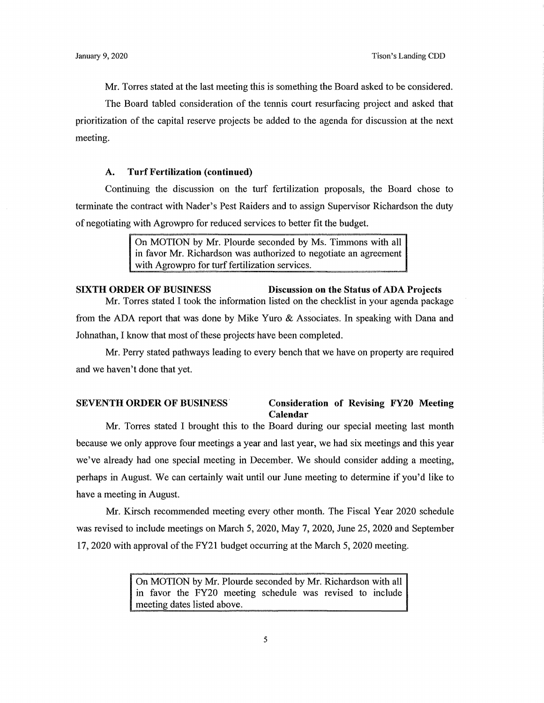Mr. Torres stated at the last meeting this is something the Board asked to be considered.

The Board tabled consideration of the tennis court resurfacing project and asked that prioritization of the capital reserve projects be added to the agenda for discussion at the next meeting.

## **A. Turf Fertilization (continued)**

Continuing the discussion on the turf fertilization proposals, the Board chose to terminate the contract with Nader's Pest Raiders and to assign Supervisor Richardson the duty of negotiating with Agrowpro for reduced services to better fit the budget.

> On MOTION by Mr. Plourde seconded by Ms. Timmons with all in favor Mr. Richardson was authorized to negotiate an agreement with Agrowpro for turf fertilization services.

# **SIXTH ORDER OF BUSINESS** Discussion on the Status of ADA Projects Mr. Torres stated I took the information listed on the checklist in your agenda package

from the ADA report that was done by Mike Yuro & Associates. In speaking with Dana and Johnathan, I know that most of these projects have been completed.

Mr. Perry stated pathways leading to every bench that we have on property are required and we haven't done that yet.

## **SEVENTH ORDER OF BUSINESS. Consideration of Revising FY20 Meeting Calendar**

Mr. Torres stated I brought this to the Board during our special meeting last month because we only approve four meetings a year and last year, we had six meetings and this year we've already had one special meeting in December. We should consider adding a meeting, perhaps in August. We can certainly wait until our June meeting to determine if you'd like to have a meeting in August.

Mr. Kirsch recommended meeting every other month. The Fiscal Year 2020 schedule was revised to include meetings on March 5, 2020, May 7, 2020, June 25, 2020 and September 17, 2020 with approval of the FY21 budget occurring at the March 5, 2020 meeting.

> On MOTION by Mr. Plourde seconded by Mr. Richardson with all in favor the FY20 meeting schedule was revised to include meeting dates listed above.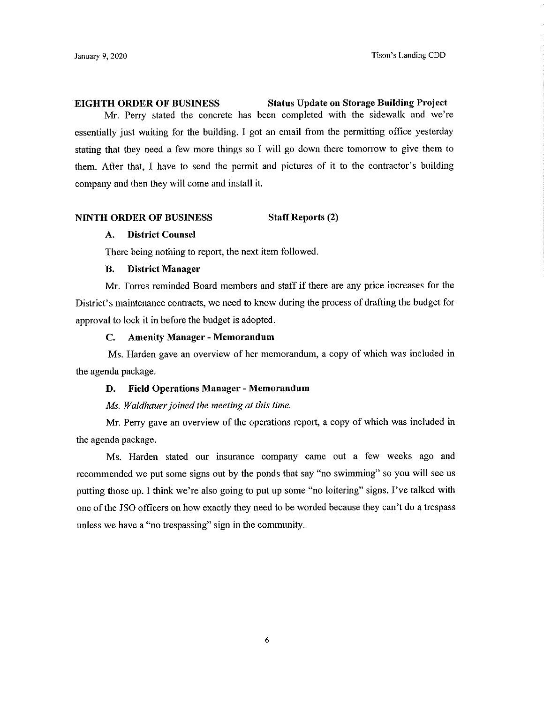.**EIGHTH ORDER OF BUSINESS Status Update ou Storage Building Project** 

Mr. Perry stated the concrete has been completed with the sidewalk and we're essentially just waiting for the building. I got an email from the permitting office yesterday stating that they need a few more things so I will go down there tomorrow to give them to them. After that, I have to send the permit and pictures of it to the contractor's building company and then they will come and install it.

#### **NINTH ORDER OF BUSINESS Staff Reports (2)**

### **A. District Counsel**

There being nothing to report, the next item followed.

### **B. District Manager**

Mr. Torres reminded Board members and staff if there are any price increases for the District's maintenance contracts, we need to know during the process of drafting the budget for approval to lock it in before the budget is adopted.

#### **C. Amenity Manager - Memorandum**

Ms. Harden gave an overview of her memorandum, a copy of which was included in the agenda package.

#### **D. Field Operations Manager - Memorandum**

*Ms. Waldhauer joined the meeting at this time.* 

Mr. Perry gave an overview of the operations report, a copy of which was included in the agenda package.

Ms. Harden stated our insurance company came out a few weeks ago and recommended we put some signs out by the ponds that say "no swimming" so you will see us putting those up. I think we're also going to put up some "no loitering" signs. I've talked with one ofthe JSO officers on how exactly they need to be worded because they can't do a trespass unless we have a "no trespassing" sign in the community.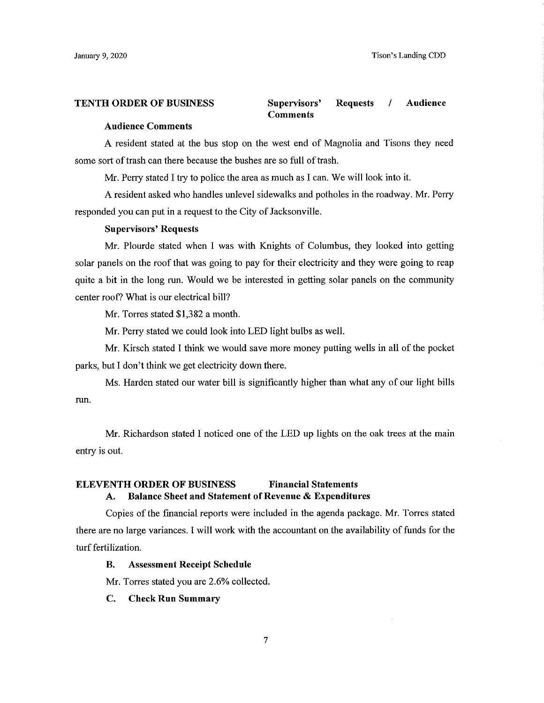**TENTH ORDER OF BUSINESS Supervisors' Requests** I **Audience Comments** 

### **Audience Comments**

A resident stated at the bus stop on the west end of Magnolia and Tisons they need some sort of trash can there because the bushes are so full of trash.

Mr. Perry stated I try to police the area as much as I can. We will look into it.

A resident asked who handles unlevel sidewalks and potholes in the roadway. Mr. Perry responded you can put in a request to the City of Jacksonville.

#### **Supervisors' Requests**

Mr. Plourde stated when I was with Knights of Columbus, they looked into getting solar panels on the roof that was going to pay for their electricity and they were going to reap quite a bit in the long run. Would we be interested in getting solar panels on the community center roof? What is our electrical bill?

Mr. Torres stated \$1,382 a month.

Mr. Perry stated we could look into LED light bulbs as well.

Mr. Kirsch stated l think we would save more money putting wells in all of the pocket parks, but I don't think we get electricity down there.

Ms. Harden stated our water bill is significantly higher than what any of our light bills run.

Mr. Richardson stated I noticed one of the LED up lights on the oak trees at the main entry is out.

# **ELEVENTH ORDER OF BUSINESS Financial Statements A. Balance Sheet and Statement of Revenue** & **Expenditures**

Copies of the financial reports were included in the agenda package. Mr. Torres stated there are no large variances. I will work with the accountant on the availability of funds for the turf fertilization.

#### **B. Assessment Receipt Schedule**

Mr. Torres stated you are 2.6% collected.

#### **C. Check Run Summary**